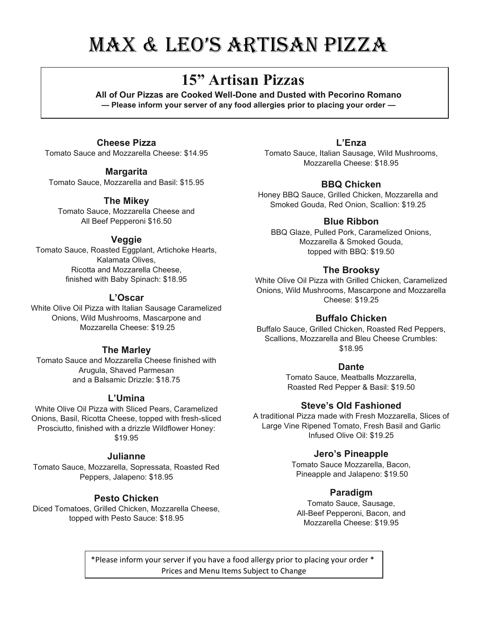# Max & Leo's artisan Pizza

## **15" Artisan Pizzas**

**All of Our Pizzas are Cooked Well-Done and Dusted with Pecorino Romano — Please inform your server of any food allergies prior to placing your order —**

### **Cheese Pizza**

Tomato Sauce and Mozzarella Cheese: \$14.95

### **Margarita**

Tomato Sauce, Mozzarella and Basil: \$15.95

### **The Mikey**

Tomato Sauce, Mozzarella Cheese and All Beef Pepperoni \$16.50

### **Veggie**

Tomato Sauce, Roasted Eggplant, Artichoke Hearts, Kalamata Olives, Ricotta and Mozzarella Cheese, finished with Baby Spinach: \$18.95

### **L'Oscar**

White Olive Oil Pizza with Italian Sausage Caramelized Onions, Wild Mushrooms, Mascarpone and Mozzarella Cheese: \$19.25

### **The Marley**

Tomato Sauce and Mozzarella Cheese finished with Arugula, Shaved Parmesan and a Balsamic Drizzle: \$18.75

### **L'Umina**

White Olive Oil Pizza with Sliced Pears, Caramelized Onions, Basil, Ricotta Cheese, topped with fresh-sliced Prosciutto, finished with a drizzle Wildflower Honey: \$19.95

### **Julianne**

Tomato Sauce, Mozzarella, Sopressata, Roasted Red Peppers, Jalapeno: \$18.95

### **Pesto Chicken**

Diced Tomatoes, Grilled Chicken, Mozzarella Cheese, topped with Pesto Sauce: \$18.95

### **L'Enza**

Tomato Sauce, Italian Sausage, Wild Mushrooms, Mozzarella Cheese: \$18.95

### **BBQ Chicken**

Honey BBQ Sauce, Grilled Chicken, Mozzarella and Smoked Gouda, Red Onion, Scallion: \$19.25

### **Blue Ribbon**

BBQ Glaze, Pulled Pork, Caramelized Onions, Mozzarella & Smoked Gouda, topped with BBQ: \$19.50

### **The Brooksy**

White Olive Oil Pizza with Grilled Chicken, Caramelized Onions, Wild Mushrooms, Mascarpone and Mozzarella Cheese: \$19.25

### **Buffalo Chicken**

Buffalo Sauce, Grilled Chicken, Roasted Red Peppers, Scallions, Mozzarella and Bleu Cheese Crumbles: \$18.95

### **Dante**

Tomato Sauce, Meatballs Mozzarella, Roasted Red Pepper & Basil: \$19.50

### **Steve's Old Fashioned**

A traditional Pizza made with Fresh Mozzarella, Slices of Large Vine Ripened Tomato, Fresh Basil and Garlic Infused Olive Oil: \$19.25

### **Jero's Pineapple**

Tomato Sauce Mozzarella, Bacon, Pineapple and Jalapeno: \$19.50

### **Paradigm**

Tomato Sauce, Sausage, All-Beef Pepperoni, Bacon, and Mozzarella Cheese: \$19.95

\*Please inform your server if you have a food allergy prior to placing your order \* Prices and Menu Items Subject to Change